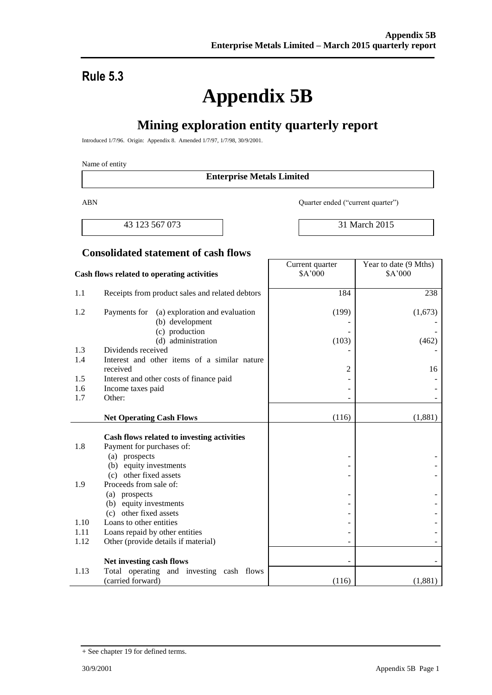# **Rule 5.3**

# **Appendix 5B**

# **Mining exploration entity quarterly report**

Introduced 1/7/96. Origin: Appendix 8. Amended 1/7/97, 1/7/98, 30/9/2001.

#### Name of entity

#### **Enterprise Metals Limited**

ABN Quarter ended ("current quarter")

Current quarter

43 123 567 073 31 March 2015

Year to date (9 Mths)

#### **Consolidated statement of cash flows**

| Cash flows related to operating activities |                                                                   | \$A'000 | \$A'000 |
|--------------------------------------------|-------------------------------------------------------------------|---------|---------|
| 1.1                                        | Receipts from product sales and related debtors                   | 184     | 238     |
| 1.2                                        | Payments for<br>(a) exploration and evaluation<br>(b) development | (199)   | (1,673) |
|                                            | (c) production<br>(d) administration                              | (103)   | (462)   |
| 1.3                                        | Dividends received                                                |         |         |
| 1.4                                        | Interest and other items of a similar nature                      |         |         |
|                                            | received                                                          | 2       | 16      |
| 1.5                                        | Interest and other costs of finance paid                          |         |         |
| 1.6                                        | Income taxes paid                                                 |         |         |
| 1.7                                        | Other:                                                            |         |         |
|                                            |                                                                   |         |         |
|                                            | <b>Net Operating Cash Flows</b>                                   | (116)   | (1,881) |
|                                            | Cash flows related to investing activities                        |         |         |
| 1.8                                        | Payment for purchases of:                                         |         |         |
|                                            | (a) prospects                                                     |         |         |
|                                            | (b) equity investments                                            |         |         |
|                                            | (c) other fixed assets                                            |         |         |
| 1.9                                        | Proceeds from sale of:                                            |         |         |
|                                            | (a) prospects                                                     |         |         |
|                                            | (b) equity investments                                            |         |         |
|                                            | (c) other fixed assets                                            |         |         |
| 1.10                                       | Loans to other entities                                           |         |         |
| 1.11                                       | Loans repaid by other entities                                    |         |         |
| 1.12                                       | Other (provide details if material)                               |         |         |
|                                            | Net investing cash flows                                          |         |         |
| 1.13                                       | Total operating and investing cash flows                          |         |         |
|                                            | (carried forward)                                                 | (116)   | (1,881) |

<sup>+</sup> See chapter 19 for defined terms.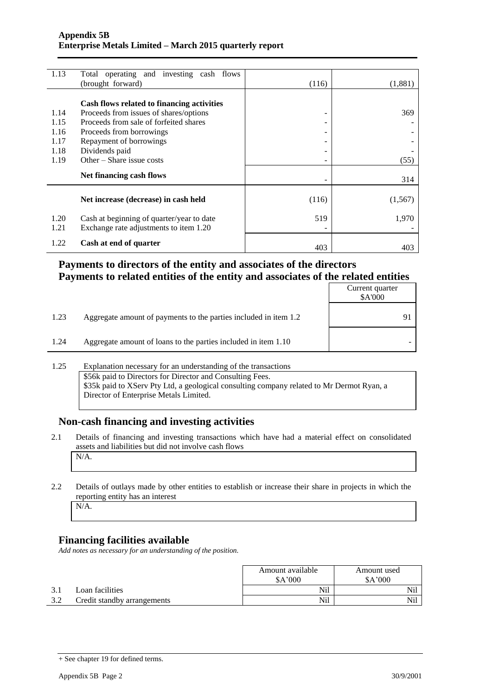| 1.13 | Total operating and investing cash flows   |                          |          |
|------|--------------------------------------------|--------------------------|----------|
|      | (brought forward)                          | (116)                    | (1,881)  |
|      |                                            |                          |          |
|      | Cash flows related to financing activities |                          |          |
| 1.14 | Proceeds from issues of shares/options     | ۰                        | 369      |
| 1.15 | Proceeds from sale of forfeited shares     |                          |          |
| 1.16 | Proceeds from borrowings                   | ۰                        |          |
| 1.17 | Repayment of borrowings                    | $\overline{\phantom{0}}$ |          |
| 1.18 | Dividends paid                             | $\overline{\phantom{a}}$ |          |
| 1.19 | Other – Share issue costs                  |                          | (55)     |
|      | Net financing cash flows                   |                          | 314      |
|      |                                            |                          |          |
|      | Net increase (decrease) in cash held       | (116)                    | (1, 567) |
| 1.20 | Cash at beginning of quarter/year to date  | 519                      | 1,970    |
| 1.21 | Exchange rate adjustments to item 1.20     |                          |          |
| 1.22 | Cash at end of quarter                     | 403                      | 403      |

#### **Payments to directors of the entity and associates of the directors Payments to related entities of the entity and associates of the related entities**

|      |                                                                  | Current quarter<br>\$A'000 |
|------|------------------------------------------------------------------|----------------------------|
| 1.23 | Aggregate amount of payments to the parties included in item 1.2 |                            |
| 1.24 | Aggregate amount of loans to the parties included in item 1.10   |                            |

#### 1.25 Explanation necessary for an understanding of the transactions \$56k paid to Directors for Director and Consulting Fees. \$35k paid to XServ Pty Ltd, a geological consulting company related to Mr Dermot Ryan, a Director of Enterprise Metals Limited.

## **Non-cash financing and investing activities**

- 2.1 Details of financing and investing transactions which have had a material effect on consolidated assets and liabilities but did not involve cash flows N/A.
- 2.2 Details of outlays made by other entities to establish or increase their share in projects in which the reporting entity has an interest

N/A.

## **Financing facilities available**

*Add notes as necessary for an understanding of the position.*

|     |                             | Amount available<br>\$A'000 | Amount used<br>\$A'000 |  |
|-----|-----------------------------|-----------------------------|------------------------|--|
|     | Loan facilities             | Nil                         | Nil                    |  |
| ے د | Credit standby arrangements | Nil                         | Nil                    |  |

<sup>+</sup> See chapter 19 for defined terms.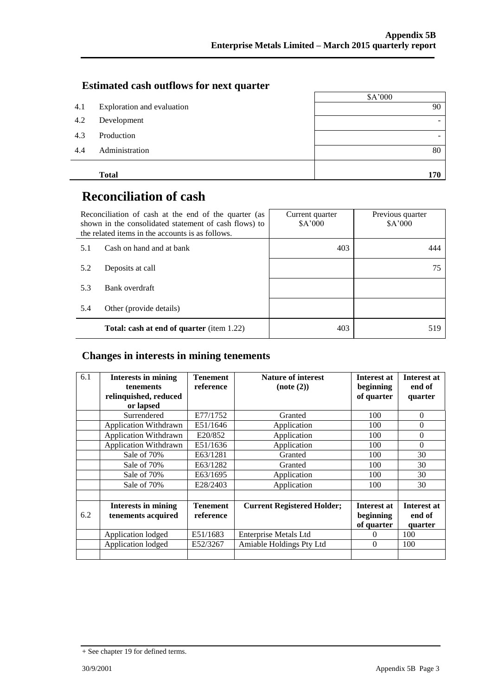#### **Estimated cash outflows for next quarter**

|     |                            | \$A'000 |
|-----|----------------------------|---------|
| 4.1 | Exploration and evaluation | 90      |
| 4.2 | Development                |         |
| 4.3 | Production                 |         |
| 4.4 | Administration             | 80      |
|     | <b>Total</b>               | 170     |

# **Reconciliation of cash**

|     | Reconciliation of cash at the end of the quarter (as<br>shown in the consolidated statement of cash flows) to<br>the related items in the accounts is as follows. | Current quarter<br>\$A'000 | Previous quarter<br>\$A'000 |  |
|-----|-------------------------------------------------------------------------------------------------------------------------------------------------------------------|----------------------------|-----------------------------|--|
| 5.1 | Cash on hand and at bank                                                                                                                                          | 403                        | 444                         |  |
| 5.2 | Deposits at call                                                                                                                                                  |                            | 75                          |  |
| 5.3 | Bank overdraft                                                                                                                                                    |                            |                             |  |
| 5.4 | Other (provide details)                                                                                                                                           |                            |                             |  |
|     | <b>Total: cash at end of quarter</b> (item 1.22)                                                                                                                  | 403                        | 519                         |  |

#### **Changes in interests in mining tenements**

| 6.1 | <b>Interests in mining</b><br>tenements<br>relinquished, reduced<br>or lapsed | <b>Tenement</b><br>reference | <b>Nature of interest</b><br>(note (2)) | <b>Interest at</b><br>beginning<br>of quarter | Interest at<br>end of<br>quarter        |
|-----|-------------------------------------------------------------------------------|------------------------------|-----------------------------------------|-----------------------------------------------|-----------------------------------------|
|     | Surrendered                                                                   | E77/1752                     | Granted                                 | 100                                           | $\Omega$                                |
|     | <b>Application Withdrawn</b>                                                  | E51/1646                     | Application                             | 100                                           | $\Omega$                                |
|     | <b>Application Withdrawn</b>                                                  | E20/852                      | Application                             | 100                                           | $\mathbf{0}$                            |
|     | <b>Application Withdrawn</b>                                                  | E51/1636                     | Application                             | 100                                           | $\Omega$                                |
|     | Sale of 70%                                                                   | E63/1281                     | Granted                                 | 100                                           | 30                                      |
|     | Sale of 70%                                                                   | E63/1282                     | Granted                                 | 100                                           | 30                                      |
|     | Sale of 70%                                                                   | E63/1695                     | Application                             | 100                                           | 30                                      |
|     | Sale of 70%                                                                   | E28/2403                     | Application                             | 100                                           | 30                                      |
|     |                                                                               |                              |                                         |                                               |                                         |
| 6.2 | <b>Interests in mining</b><br>tenements acquired                              | <b>Tenement</b><br>reference | <b>Current Registered Holder;</b>       | <b>Interest at</b><br>beginning<br>of quarter | <b>Interest at</b><br>end of<br>quarter |
|     | Application lodged                                                            | E51/1683                     | <b>Enterprise Metals Ltd</b>            | 0                                             | 100                                     |
|     | Application lodged                                                            | E52/3267                     | Amiable Holdings Pty Ltd                | $\Omega$                                      | 100                                     |
|     |                                                                               |                              |                                         |                                               |                                         |

<sup>+</sup> See chapter 19 for defined terms.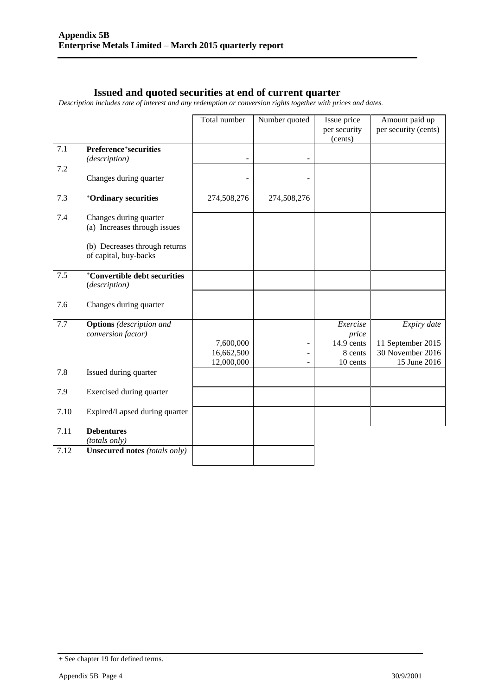#### **Issued and quoted securities at end of current quarter**

*Description includes rate of interest and any redemption or conversion rights together with prices and dates.*

|      |                                                           | Total number            | Number quoted | Issue price<br>per security | Amount paid up<br>per security (cents) |
|------|-----------------------------------------------------------|-------------------------|---------------|-----------------------------|----------------------------------------|
|      |                                                           |                         |               | (cents)                     |                                        |
| 7.1  | Preference <sup>+</sup> securities<br>(description)       |                         |               |                             |                                        |
| 7.2  | Changes during quarter                                    |                         |               |                             |                                        |
|      |                                                           |                         |               |                             |                                        |
| 7.3  | <sup>+</sup> Ordinary securities                          | 274,508,276             | 274,508,276   |                             |                                        |
| 7.4  | Changes during quarter<br>(a) Increases through issues    |                         |               |                             |                                        |
|      | (b) Decreases through returns<br>of capital, buy-backs    |                         |               |                             |                                        |
| 7.5  | <sup>+</sup> Convertible debt securities<br>(description) |                         |               |                             |                                        |
| 7.6  | Changes during quarter                                    |                         |               |                             |                                        |
| 7.7  | <b>Options</b> (description and<br>conversion factor)     |                         |               | Exercise<br>price           | Expiry date                            |
|      |                                                           | 7,600,000<br>16,662,500 |               | 14.9 cents<br>8 cents       | 11 September 2015<br>30 November 2016  |
| 7.8  | Issued during quarter                                     | 12,000,000              |               | 10 cents                    | 15 June 2016                           |
| 7.9  | Exercised during quarter                                  |                         |               |                             |                                        |
| 7.10 | Expired/Lapsed during quarter                             |                         |               |                             |                                        |
| 7.11 | <b>Debentures</b>                                         |                         |               |                             |                                        |
|      | (totals only)                                             |                         |               |                             |                                        |
| 7.12 | <b>Unsecured notes (totals only)</b>                      |                         |               |                             |                                        |

<sup>+</sup> See chapter 19 for defined terms.